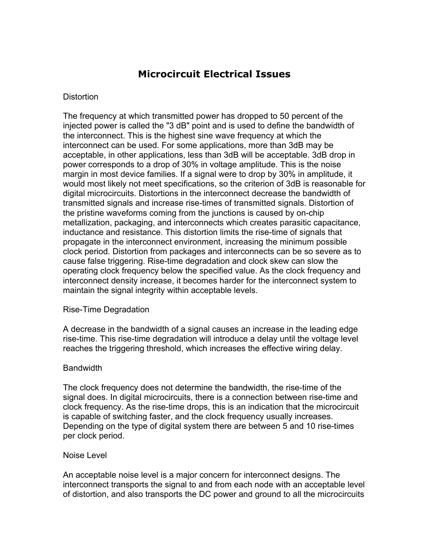# **Microcircuit Electrical Issues**

## **Distortion**

The frequency at which transmitted power has dropped to 50 percent of the injected power is called the "3 dB" point and is used to define the bandwidth of the interconnect. This is the highest sine wave frequency at which the interconnect can be used. For some applications, more than 3dB may be acceptable, in other applications, less than 3dB will be acceptable. 3dB drop in power corresponds to a drop of 30% in voltage amplitude. This is the noise margin in most device families. If a signal were to drop by 30% in amplitude, it would most likely not meet specifications, so the criterion of 3dB is reasonable for digital microcircuits. Distortions in the interconnect decrease the bandwidth of transmitted signals and increase rise-times of transmitted signals. Distortion of the pristine waveforms coming from the junctions is caused by on-chip metallization, packaging, and interconnects which creates parasitic capacitance, inductance and resistance. This distortion limits the rise-time of signals that propagate in the interconnect environment, increasing the minimum possible clock period. Distortion from packages and interconnects can be so severe as to cause false triggering. Rise-time degradation and clock skew can slow the operating clock frequency below the specified value. As the clock frequency and interconnect density increase, it becomes harder for the interconnect system to maintain the signal integrity within acceptable levels.

## Rise-Time Degradation

A decrease in the bandwidth of a signal causes an increase in the leading edge rise-time. This rise-time degradation will introduce a delay until the voltage level reaches the triggering threshold, which increases the effective wiring delay.

## **Bandwidth**

The clock frequency does not determine the bandwidth, the rise-time of the signal does. In digital microcircuits, there is a connection between rise-time and clock frequency. As the rise-time drops, this is an indication that the microcircuit is capable of switching faster, and the clock frequency usually increases. Depending on the type of digital system there are between 5 and 10 rise-times per clock period.

## Noise Level

An acceptable noise level is a major concern for interconnect designs. The interconnect transports the signal to and from each node with an acceptable level of distortion, and also transports the DC power and ground to all the microcircuits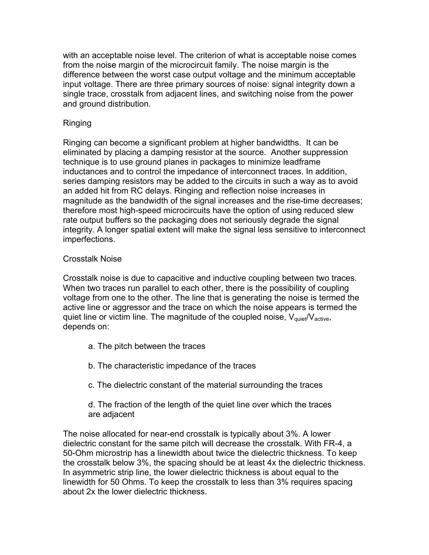with an acceptable noise level. The criterion of what is acceptable noise comes from the noise margin of the microcircuit family. The noise margin is the difference between the worst case output voltage and the minimum acceptable input voltage. There are three primary sources of noise: signal integrity down a single trace, crosstalk from adjacent lines, and switching noise from the power and ground distribution.

# Ringing

Ringing can become a significant problem at higher bandwidths. It can be eliminated by placing a damping resistor at the source. Another suppression technique is to use ground planes in packages to minimize leadframe inductances and to control the impedance of interconnect traces. In addition, series damping resistors may be added to the circuits in such a way as to avoid an added hit from RC delays. Ringing and reflection noise increases in magnitude as the bandwidth of the signal increases and the rise-time decreases; therefore most high-speed microcircuits have the option of using reduced slew rate output buffers so the packaging does not seriously degrade the signal integrity. A longer spatial extent will make the signal less sensitive to interconnect imperfections.

# Crosstalk Noise

Crosstalk noise is due to capacitive and inductive coupling between two traces. When two traces run parallel to each other, there is the possibility of coupling voltage from one to the other. The line that is generating the noise is termed the active line or aggressor and the trace on which the noise appears is termed the quiet line or victim line. The magnitude of the coupled noise,  $V_{\text{ouiet}}/V_{\text{active}}$ , depends on:

- a. The pitch between the traces
- b. The characteristic impedance of the traces
- c. The dielectric constant of the material surrounding the traces

d. The fraction of the length of the quiet line over which the traces are adjacent

The noise allocated for near-end crosstalk is typically about 3%. A lower dielectric constant for the same pitch will decrease the crosstalk. With FR-4, a 50-Ohm microstrip has a linewidth about twice the dielectric thickness. To keep the crosstalk below 3%, the spacing should be at least 4x the dielectric thickness. In asymmetric strip line, the lower dielectric thickness is about equal to the linewidth for 50 Ohms. To keep the crosstalk to less than 3% requires spacing about 2x the lower dielectric thickness.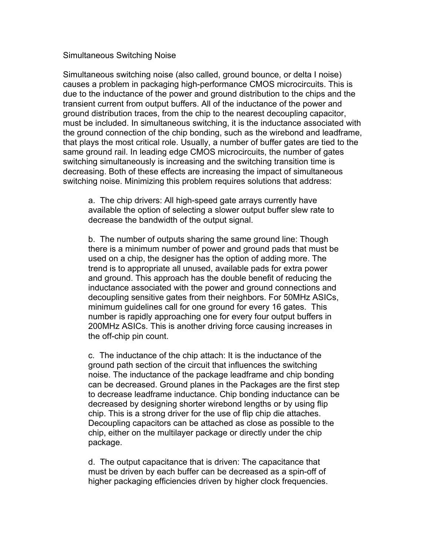## Simultaneous Switching Noise

Simultaneous switching noise (also called, ground bounce, or delta I noise) causes a problem in packaging high-performance CMOS microcircuits. This is due to the inductance of the power and ground distribution to the chips and the transient current from output buffers. All of the inductance of the power and ground distribution traces, from the chip to the nearest decoupling capacitor, must be included. In simultaneous switching, it is the inductance associated with the ground connection of the chip bonding, such as the wirebond and leadframe, that plays the most critical role. Usually, a number of buffer gates are tied to the same ground rail. In leading edge CMOS microcircuits, the number of gates switching simultaneously is increasing and the switching transition time is decreasing. Both of these effects are increasing the impact of simultaneous switching noise. Minimizing this problem requires solutions that address:

a. The chip drivers: All high-speed gate arrays currently have available the option of selecting a slower output buffer slew rate to decrease the bandwidth of the output signal.

b. The number of outputs sharing the same ground line: Though there is a minimum number of power and ground pads that must be used on a chip, the designer has the option of adding more. The trend is to appropriate all unused, available pads for extra power and ground. This approach has the double benefit of reducing the inductance associated with the power and ground connections and decoupling sensitive gates from their neighbors. For 50MHz ASICs, minimum guidelines call for one ground for every 16 gates. This number is rapidly approaching one for every four output buffers in 200MHz ASICs. This is another driving force causing increases in the off-chip pin count.

c. The inductance of the chip attach: It is the inductance of the ground path section of the circuit that influences the switching noise. The inductance of the package leadframe and chip bonding can be decreased. Ground planes in the Packages are the first step to decrease leadframe inductance. Chip bonding inductance can be decreased by designing shorter wirebond lengths or by using flip chip. This is a strong driver for the use of flip chip die attaches. Decoupling capacitors can be attached as close as possible to the chip, either on the multilayer package or directly under the chip package.

d. The output capacitance that is driven: The capacitance that must be driven by each buffer can be decreased as a spin-off of higher packaging efficiencies driven by higher clock frequencies.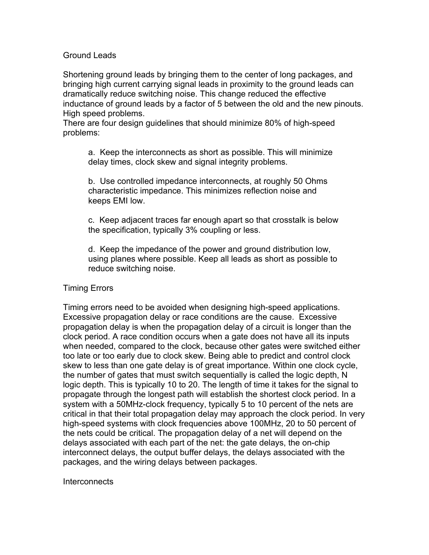# Ground Leads

Shortening ground leads by bringing them to the center of long packages, and bringing high current carrying signal leads in proximity to the ground leads can dramatically reduce switching noise. This change reduced the effective inductance of ground leads by a factor of 5 between the old and the new pinouts. High speed problems.

There are four design guidelines that should minimize 80% of high-speed problems:

a. Keep the interconnects as short as possible. This will minimize delay times, clock skew and signal integrity problems.

b. Use controlled impedance interconnects, at roughly 50 Ohms characteristic impedance. This minimizes reflection noise and keeps EMI low.

c. Keep adjacent traces far enough apart so that crosstalk is below the specification, typically 3% coupling or less.

d. Keep the impedance of the power and ground distribution low, using planes where possible. Keep all leads as short as possible to reduce switching noise.

# Timing Errors

Timing errors need to be avoided when designing high-speed applications. Excessive propagation delay or race conditions are the cause. Excessive propagation delay is when the propagation delay of a circuit is longer than the clock period. A race condition occurs when a gate does not have all its inputs when needed, compared to the clock, because other gates were switched either too late or too early due to clock skew. Being able to predict and control clock skew to less than one gate delay is of great importance. Within one clock cycle, the number of gates that must switch sequentially is called the logic depth, N logic depth. This is typically 10 to 20. The length of time it takes for the signal to propagate through the longest path will establish the shortest clock period. In a system with a 50MHz-clock frequency, typically 5 to 10 percent of the nets are critical in that their total propagation delay may approach the clock period. In very high-speed systems with clock frequencies above 100MHz, 20 to 50 percent of the nets could be critical. The propagation delay of a net will depend on the delays associated with each part of the net: the gate delays, the on-chip interconnect delays, the output buffer delays, the delays associated with the packages, and the wiring delays between packages.

Interconnects